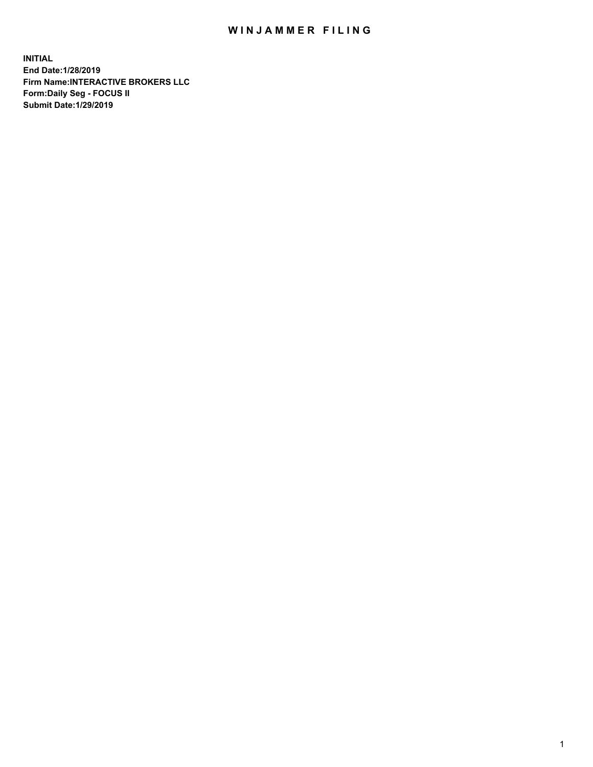## WIN JAMMER FILING

**INITIAL End Date:1/28/2019 Firm Name:INTERACTIVE BROKERS LLC Form:Daily Seg - FOCUS II Submit Date:1/29/2019**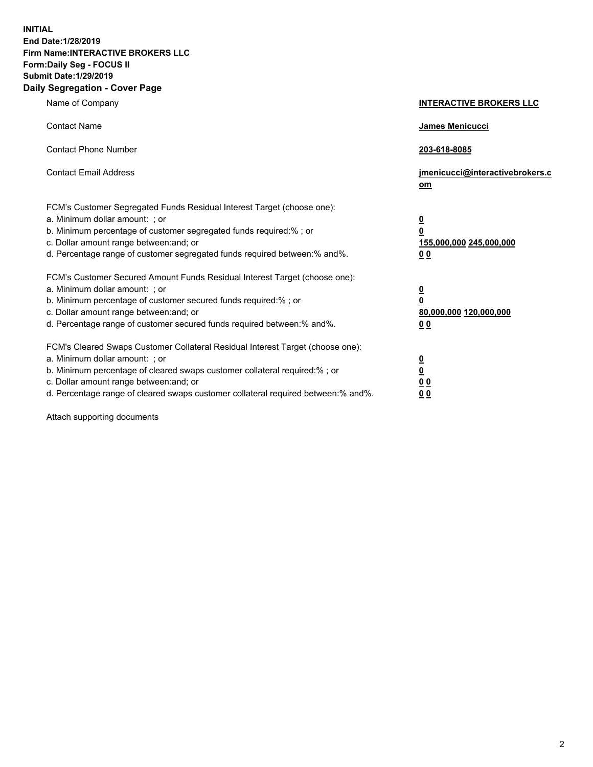**INITIAL End Date:1/28/2019 Firm Name:INTERACTIVE BROKERS LLC Form:Daily Seg - FOCUS II Submit Date:1/29/2019 Daily Segregation - Cover Page**

| Name of Company                                                                                                                                                                                                                                                                                                                | <b>INTERACTIVE BROKERS LLC</b>                                                                  |
|--------------------------------------------------------------------------------------------------------------------------------------------------------------------------------------------------------------------------------------------------------------------------------------------------------------------------------|-------------------------------------------------------------------------------------------------|
| <b>Contact Name</b>                                                                                                                                                                                                                                                                                                            | James Menicucci                                                                                 |
| <b>Contact Phone Number</b>                                                                                                                                                                                                                                                                                                    | 203-618-8085                                                                                    |
| <b>Contact Email Address</b>                                                                                                                                                                                                                                                                                                   | jmenicucci@interactivebrokers.c<br>om                                                           |
| FCM's Customer Segregated Funds Residual Interest Target (choose one):<br>a. Minimum dollar amount: ; or<br>b. Minimum percentage of customer segregated funds required:% ; or<br>c. Dollar amount range between: and; or<br>d. Percentage range of customer segregated funds required between:% and%.                         | $\overline{\mathbf{0}}$<br>$\overline{\mathbf{0}}$<br>155,000,000 245,000,000<br>0 <sub>0</sub> |
| FCM's Customer Secured Amount Funds Residual Interest Target (choose one):<br>a. Minimum dollar amount: ; or<br>b. Minimum percentage of customer secured funds required:% ; or<br>c. Dollar amount range between: and; or<br>d. Percentage range of customer secured funds required between:% and%.                           | $\overline{\mathbf{0}}$<br>0<br>80,000,000 120,000,000<br>0 <sub>0</sub>                        |
| FCM's Cleared Swaps Customer Collateral Residual Interest Target (choose one):<br>a. Minimum dollar amount: ; or<br>b. Minimum percentage of cleared swaps customer collateral required:% ; or<br>c. Dollar amount range between: and; or<br>d. Percentage range of cleared swaps customer collateral required between:% and%. | $\overline{\mathbf{0}}$<br><u>0</u><br>$\underline{0}$ $\underline{0}$<br>00                    |

Attach supporting documents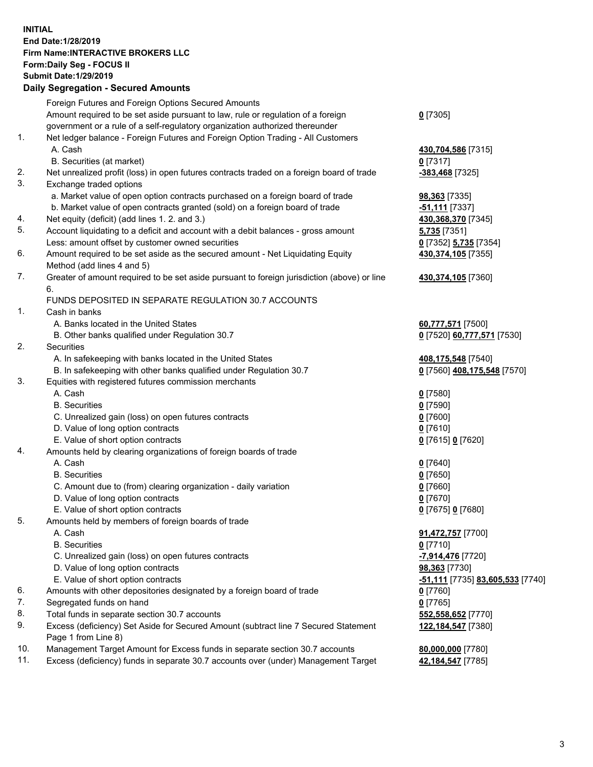## **INITIAL End Date:1/28/2019 Firm Name:INTERACTIVE BROKERS LLC Form:Daily Seg - FOCUS II Submit Date:1/29/2019 Daily Segregation - Secured Amounts**

|     | Daily Segregation - Secured Amounts                                                         |                                                      |
|-----|---------------------------------------------------------------------------------------------|------------------------------------------------------|
|     | Foreign Futures and Foreign Options Secured Amounts                                         |                                                      |
|     | Amount required to be set aside pursuant to law, rule or regulation of a foreign            | $0$ [7305]                                           |
|     | government or a rule of a self-regulatory organization authorized thereunder                |                                                      |
| 1.  | Net ledger balance - Foreign Futures and Foreign Option Trading - All Customers             |                                                      |
|     | A. Cash                                                                                     | 430,704,586 [7315]                                   |
|     | B. Securities (at market)                                                                   | $0$ [7317]                                           |
| 2.  | Net unrealized profit (loss) in open futures contracts traded on a foreign board of trade   | -383,468 [7325]                                      |
| 3.  | Exchange traded options                                                                     |                                                      |
|     | a. Market value of open option contracts purchased on a foreign board of trade              | 98,363 [7335]                                        |
|     | b. Market value of open contracts granted (sold) on a foreign board of trade                | $-51,111$ [7337]                                     |
| 4.  | Net equity (deficit) (add lines 1.2. and 3.)                                                | 430,368,370 [7345]                                   |
| 5.  | Account liquidating to a deficit and account with a debit balances - gross amount           | 5,735 [7351]                                         |
|     | Less: amount offset by customer owned securities                                            | 0 [7352] 5,735 [7354]                                |
| 6.  | Amount required to be set aside as the secured amount - Net Liquidating Equity              | 430,374,105 [7355]                                   |
|     | Method (add lines 4 and 5)                                                                  |                                                      |
| 7.  | Greater of amount required to be set aside pursuant to foreign jurisdiction (above) or line | 430,374,105 [7360]                                   |
|     | 6.                                                                                          |                                                      |
|     | FUNDS DEPOSITED IN SEPARATE REGULATION 30.7 ACCOUNTS                                        |                                                      |
| 1.  | Cash in banks                                                                               |                                                      |
|     | A. Banks located in the United States                                                       | 60,777,571 [7500]                                    |
|     | B. Other banks qualified under Regulation 30.7                                              | 0 [7520] 60,777,571 [7530]                           |
| 2.  | Securities                                                                                  |                                                      |
|     | A. In safekeeping with banks located in the United States                                   | 408,175,548 [7540]                                   |
|     | B. In safekeeping with other banks qualified under Regulation 30.7                          | 0 [7560] 408,175,548 [7570]                          |
| 3.  | Equities with registered futures commission merchants                                       |                                                      |
|     | A. Cash                                                                                     | $0$ [7580]                                           |
|     | <b>B.</b> Securities                                                                        | $0$ [7590]                                           |
|     | C. Unrealized gain (loss) on open futures contracts                                         | $0$ [7600]                                           |
|     | D. Value of long option contracts                                                           | $0$ [7610]                                           |
|     | E. Value of short option contracts                                                          | 0 [7615] 0 [7620]                                    |
| 4.  | Amounts held by clearing organizations of foreign boards of trade                           |                                                      |
|     | A. Cash                                                                                     | $0$ [7640]                                           |
|     | <b>B.</b> Securities                                                                        | $0$ [7650]                                           |
|     | C. Amount due to (from) clearing organization - daily variation                             | $0$ [7660]                                           |
|     | D. Value of long option contracts                                                           | $0$ [7670]                                           |
| 5.  | E. Value of short option contracts                                                          | 0 [7675] 0 [7680]                                    |
|     | Amounts held by members of foreign boards of trade<br>A. Cash                               |                                                      |
|     | <b>B.</b> Securities                                                                        | 91,472,757 [7700]<br>$0$ [7710]                      |
|     | C. Unrealized gain (loss) on open futures contracts                                         | -7,914,476 [7720]                                    |
|     | D. Value of long option contracts                                                           | 98,363 [7730]                                        |
|     | E. Value of short option contracts                                                          | <mark>-51,111</mark> [7735] <b>83,605,533</b> [7740] |
| 6.  | Amounts with other depositories designated by a foreign board of trade                      | 0 [7760]                                             |
| 7.  | Segregated funds on hand                                                                    | $0$ [7765]                                           |
| 8.  | Total funds in separate section 30.7 accounts                                               | 552,558,652 [7770]                                   |
| 9.  | Excess (deficiency) Set Aside for Secured Amount (subtract line 7 Secured Statement         | 122,184,547 [7380]                                   |
|     | Page 1 from Line 8)                                                                         |                                                      |
| 10. | Management Target Amount for Excess funds in separate section 30.7 accounts                 | 80,000,000 [7780]                                    |
| 11. | Excess (deficiency) funds in separate 30.7 accounts over (under) Management Target          | 42,184,547 [7785]                                    |
|     |                                                                                             |                                                      |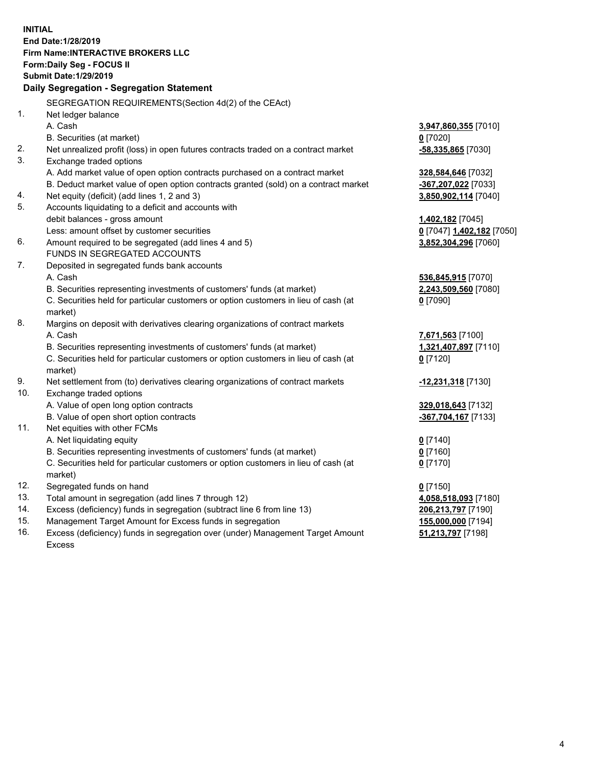**INITIAL End Date:1/28/2019 Firm Name:INTERACTIVE BROKERS LLC Form:Daily Seg - FOCUS II Submit Date:1/29/2019 Daily Segregation - Segregation Statement** SEGREGATION REQUIREMENTS(Section 4d(2) of the CEAct) 1. Net ledger balance A. Cash **3,947,860,355** [7010] B. Securities (at market) **0** [7020] 2. Net unrealized profit (loss) in open futures contracts traded on a contract market **-58,335,865** [7030] 3. Exchange traded options A. Add market value of open option contracts purchased on a contract market **328,584,646** [7032] B. Deduct market value of open option contracts granted (sold) on a contract market **-367,207,022** [7033] 4. Net equity (deficit) (add lines 1, 2 and 3) **3,850,902,114** [7040] 5. Accounts liquidating to a deficit and accounts with debit balances - gross amount **1,402,182** [7045] Less: amount offset by customer securities **0** [7047] **1,402,182** [7050] 6. Amount required to be segregated (add lines 4 and 5) **3,852,304,296** [7060] FUNDS IN SEGREGATED ACCOUNTS 7. Deposited in segregated funds bank accounts A. Cash **536,845,915** [7070] B. Securities representing investments of customers' funds (at market) **2,243,509,560** [7080] C. Securities held for particular customers or option customers in lieu of cash (at market) **0** [7090] 8. Margins on deposit with derivatives clearing organizations of contract markets A. Cash **7,671,563** [7100] B. Securities representing investments of customers' funds (at market) **1,321,407,897** [7110] C. Securities held for particular customers or option customers in lieu of cash (at market) **0** [7120] 9. Net settlement from (to) derivatives clearing organizations of contract markets **-12,231,318** [7130] 10. Exchange traded options A. Value of open long option contracts **329,018,643** [7132] B. Value of open short option contracts **-367,704,167** [7133] 11. Net equities with other FCMs A. Net liquidating equity **0** [7140] B. Securities representing investments of customers' funds (at market) **0** [7160] C. Securities held for particular customers or option customers in lieu of cash (at market) **0** [7170] 12. Segregated funds on hand **0** [7150] 13. Total amount in segregation (add lines 7 through 12) **4,058,518,093** [7180] 14. Excess (deficiency) funds in segregation (subtract line 6 from line 13) **206,213,797** [7190] 15. Management Target Amount for Excess funds in segregation **155,000,000** [7194]

16. Excess (deficiency) funds in segregation over (under) Management Target Amount Excess

**51,213,797** [7198]